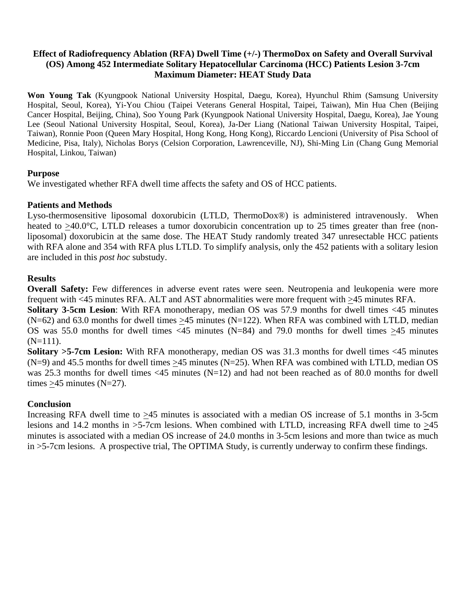## **Effect of Radiofrequency Ablation (RFA) Dwell Time (+/-) ThermoDox on Safety and Overall Survival (OS) Among 452 Intermediate Solitary Hepatocellular Carcinoma (HCC) Patients Lesion 3-7cm Maximum Diameter: HEAT Study Data**

**Won Young Tak** (Kyungpook National University Hospital, Daegu, Korea), Hyunchul Rhim (Samsung University Hospital, Seoul, Korea), Yi-You Chiou (Taipei Veterans General Hospital, Taipei, Taiwan), Min Hua Chen (Beijing Cancer Hospital, Beijing, China), Soo Young Park (Kyungpook National University Hospital, Daegu, Korea), Jae Young Lee (Seoul National University Hospital, Seoul, Korea), Ja-Der Liang (National Taiwan University Hospital, Taipei, Taiwan), Ronnie Poon (Queen Mary Hospital, Hong Kong, Hong Kong), Riccardo Lencioni (University of Pisa School of Medicine, Pisa, Italy), Nicholas Borys (Celsion Corporation, Lawrenceville, NJ), Shi-Ming Lin (Chang Gung Memorial Hospital, Linkou, Taiwan)

# **Purpose**

We investigated whether RFA dwell time affects the safety and OS of HCC patients.

# **Patients and Methods**

Lyso-thermosensitive liposomal doxorubicin (LTLD, ThermoDox®) is administered intravenously. When heated to >40.0°C, LTLD releases a tumor doxorubicin concentration up to 25 times greater than free (nonliposomal) doxorubicin at the same dose. The HEAT Study randomly treated 347 unresectable HCC patients with RFA alone and 354 with RFA plus LTLD. To simplify analysis, only the 452 patients with a solitary lesion are included in this *post hoc* substudy.

# **Results**

**Overall Safety:** Few differences in adverse event rates were seen. Neutropenia and leukopenia were more frequent with <45 minutes RFA. ALT and AST abnormalities were more frequent with >45 minutes RFA.

**Solitary 3-5cm Lesion**: With RFA monotherapy, median OS was 57.9 months for dwell times <45 minutes  $(N=62)$  and 63.0 months for dwell times >45 minutes  $(N=122)$ . When RFA was combined with LTLD, median OS was 55.0 months for dwell times <45 minutes (N=84) and 79.0 months for dwell times >45 minutes  $(N=111)$ .

**Solitary >5-7cm Lesion:** With RFA monotherapy, median OS was 31.3 months for dwell times <45 minutes (N=9) and 45.5 months for dwell times >45 minutes (N=25). When RFA was combined with LTLD, median OS was 25.3 months for dwell times <45 minutes (N=12) and had not been reached as of 80.0 months for dwell times  $>45$  minutes (N=27).

# **Conclusion**

Increasing RFA dwell time to >45 minutes is associated with a median OS increase of 5.1 months in 3-5cm lesions and 14.2 months in >5-7cm lesions. When combined with LTLD, increasing RFA dwell time to >45 minutes is associated with a median OS increase of 24.0 months in 3-5cm lesions and more than twice as much in >5-7cm lesions. A prospective trial, The OPTIMA Study, is currently underway to confirm these findings.